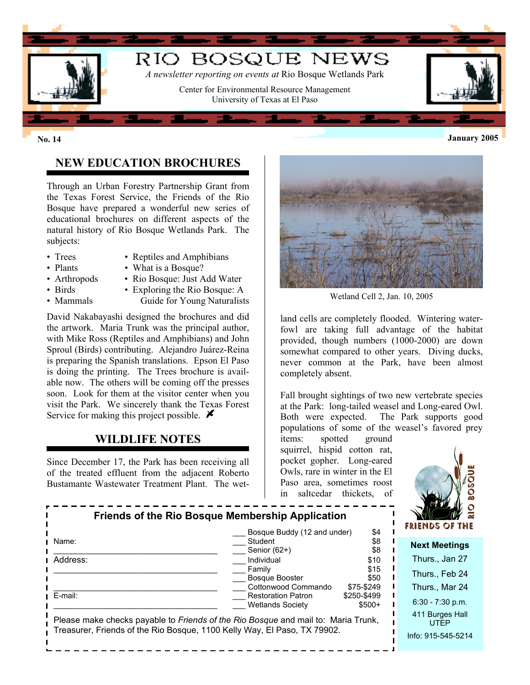

# **NEW EDUCATION BROCHURES**

Through an Urban Forestry Partnership Grant from the Texas Forest Service, the Friends of the Rio Bosque have prepared a wonderful new series of educational brochures on different aspects of the natural history of Rio Bosque Wetlands Park. The subjects:

- 
- Trees Reptiles and Amphibians • Plants • What is a Bosque?
- 
- Arthropods Rio Bosque: Just Add Water
- 
- Birds Exploring the Rio Bosque: A
- 
- Mammals Guide for Young Naturalists

David Nakabayashi designed the brochures and did the artwork. Maria Trunk was the principal author, with Mike Ross (Reptiles and Amphibians) and John Sproul (Birds) contributing. Alejandro Juárez-Reina is preparing the Spanish translations. Epson El Paso is doing the printing. The Trees brochure is available now. The others will be coming off the presses soon. Look for them at the visitor center when you visit the Park. We sincerely thank the Texas Forest Service for making this project possible.  $\blacktriangleright$ 

# **WILDLIFE NOTES**

Since December 17, the Park has been receiving all of the treated effluent from the adjacent Roberto Bustamante Wastewater Treatment Plant. The wet-



Wetland Cell 2, Jan. 10, 2005

land cells are completely flooded. Wintering waterfowl are taking full advantage of the habitat provided, though numbers (1000-2000) are down somewhat compared to other years. Diving ducks, never common at the Park, have been almost completely absent.

Fall brought sightings of two new vertebrate species at the Park: long-tailed weasel and Long-eared Owl. Both were expected. The Park supports good populations of some of the weasel's favored prey

items: spotted ground squirrel, hispid cotton rat, pocket gopher. Long-eared Owls, rare in winter in the El Paso area, sometimes roost in saltcedar thickets, of



| <b>Friends of the Rio Bosque Membership Application</b>                           |                                                      |                        | WY 2<br>FRIENDS OF THE         |
|-----------------------------------------------------------------------------------|------------------------------------------------------|------------------------|--------------------------------|
|                                                                                   | \$4<br>Bosque Buddy (12 and under)                   |                        |                                |
| Name:                                                                             | Student                                              | \$8                    | <b>Next Meetings</b>           |
| Address:                                                                          | Senior (62+)<br>Individual                           | \$8<br>\$10            | Thurs., Jan 27                 |
|                                                                                   | Family                                               | \$15                   |                                |
|                                                                                   | <b>Bosque Booster</b>                                | \$50                   | Thurs., Feb 24                 |
|                                                                                   | Cottonwood Commando                                  | \$75-\$249             | Thurs., Mar 24                 |
| E-mail:                                                                           | <b>Restoration Patron</b><br><b>Wetlands Society</b> | \$250-\$499<br>$$500+$ | $6:30 - 7:30$ p.m.             |
| Please make checks payable to Friends of the Rio Bosque and mail to: Maria Trunk, |                                                      |                        | 411 Burges Hall<br><b>UTFP</b> |
| Treasurer, Friends of the Rio Bosque, 1100 Kelly Way, El Paso, TX 79902.          |                                                      | Info: 915-545-5214     |                                |
|                                                                                   |                                                      |                        |                                |